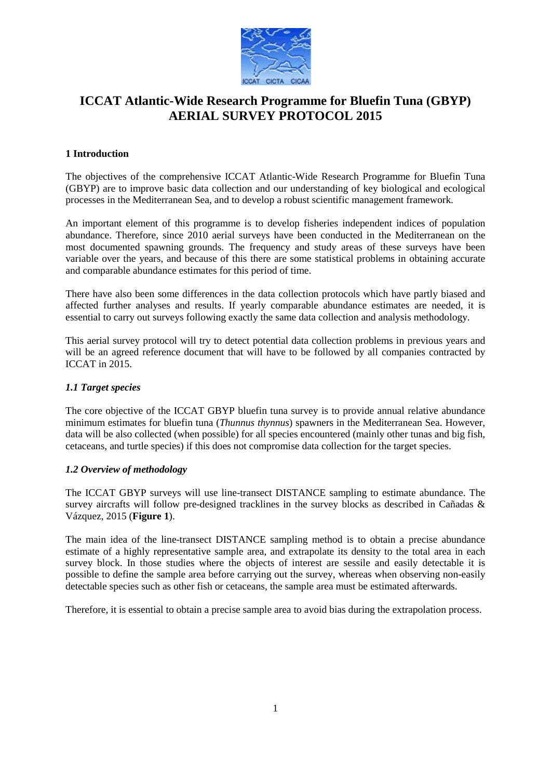

# **ICCAT Atlantic-Wide Research Programme for Bluefin Tuna (GBYP) AERIAL SURVEY PROTOCOL 2015**

# **1 Introduction**

The objectives of the comprehensive ICCAT Atlantic-Wide Research Programme for Bluefin Tuna (GBYP) are to improve basic data collection and our understanding of key biological and ecological processes in the Mediterranean Sea, and to develop a robust scientific management framework.

An important element of this programme is to develop fisheries independent indices of population abundance. Therefore, since 2010 aerial surveys have been conducted in the Mediterranean on the most documented spawning grounds. The frequency and study areas of these surveys have been variable over the years, and because of this there are some statistical problems in obtaining accurate and comparable abundance estimates for this period of time.

There have also been some differences in the data collection protocols which have partly biased and affected further analyses and results. If yearly comparable abundance estimates are needed, it is essential to carry out surveys following exactly the same data collection and analysis methodology.

This aerial survey protocol will try to detect potential data collection problems in previous years and will be an agreed reference document that will have to be followed by all companies contracted by ICCAT in 2015.

# *1.1 Target species*

The core objective of the ICCAT GBYP bluefin tuna survey is to provide annual relative abundance minimum estimates for bluefin tuna (*Thunnus thynnus*) spawners in the Mediterranean Sea. However, data will be also collected (when possible) for all species encountered (mainly other tunas and big fish, cetaceans, and turtle species) if this does not compromise data collection for the target species.

# *1.2 Overview of methodology*

The ICCAT GBYP surveys will use line-transect DISTANCE sampling to estimate abundance. The survey aircrafts will follow pre-designed tracklines in the survey blocks as described in Cañadas & Vázquez, 2015 (**Figure 1**).

The main idea of the line-transect DISTANCE sampling method is to obtain a precise abundance estimate of a highly representative sample area, and extrapolate its density to the total area in each survey block. In those studies where the objects of interest are sessile and easily detectable it is possible to define the sample area before carrying out the survey, whereas when observing non-easily detectable species such as other fish or cetaceans, the sample area must be estimated afterwards.

Therefore, it is essential to obtain a precise sample area to avoid bias during the extrapolation process.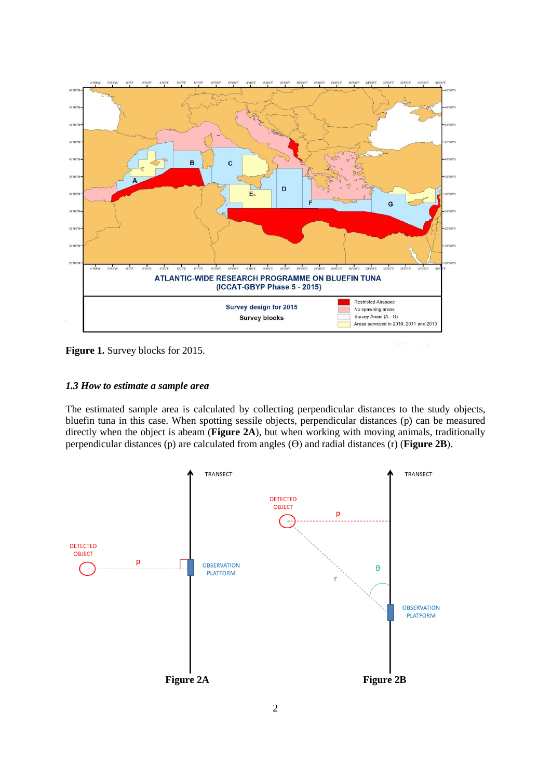

**Figure 1.** Survey blocks for 2015.

## *1.3 How to estimate a sample area*

The estimated sample area is calculated by collecting perpendicular distances to the study objects, bluefin tuna in this case. When spotting sessile objects, perpendicular distances (p) can be measured directly when the object is abeam (**Figure 2A**), but when working with moving animals, traditionally perpendicular distances (p) are calculated from angles  $(\theta)$  and radial distances (r) (**Figure 2B**).

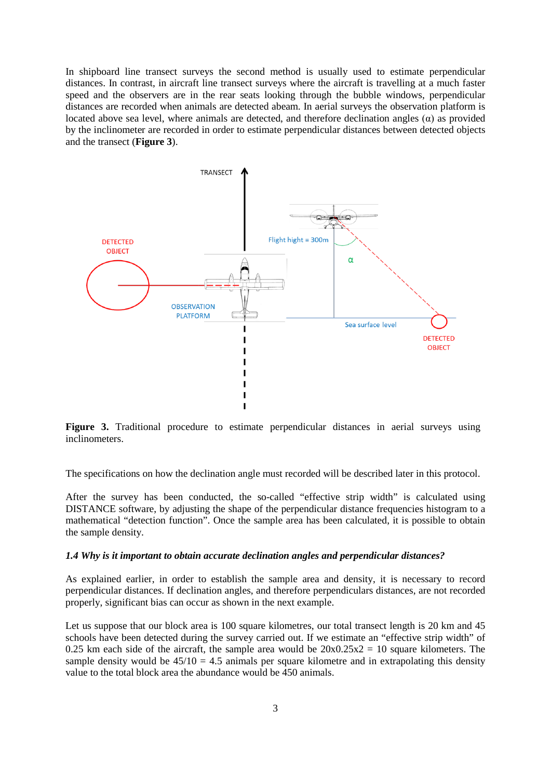In shipboard line transect surveys the second method is usually used to estimate perpendicular distances. In contrast, in aircraft line transect surveys where the aircraft is travelling at a much faster speed and the observers are in the rear seats looking through the bubble windows, perpendicular distances are recorded when animals are detected abeam. In aerial surveys the observation platform is located above sea level, where animals are detected, and therefore declination angles  $(\alpha)$  as provided by the inclinometer are recorded in order to estimate perpendicular distances between detected objects and the transect (**Figure 3**).



Figure 3. Traditional procedure to estimate perpendicular distances in aerial surveys using inclinometers.

The specifications on how the declination angle must recorded will be described later in this protocol.

After the survey has been conducted, the so-called "effective strip width" is calculated using DISTANCE software, by adjusting the shape of the perpendicular distance frequencies histogram to a mathematical "detection function". Once the sample area has been calculated, it is possible to obtain the sample density.

#### *1.4 Why is it important to obtain accurate declination angles and perpendicular distances?*

As explained earlier, in order to establish the sample area and density, it is necessary to record perpendicular distances. If declination angles, and therefore perpendiculars distances, are not recorded properly, significant bias can occur as shown in the next example.

Let us suppose that our block area is 100 square kilometres, our total transect length is 20 km and 45 schools have been detected during the survey carried out. If we estimate an "effective strip width" of 0.25 km each side of the aircraft, the sample area would be  $20x0.25x2 = 10$  square kilometers. The sample density would be  $45/10 = 4.5$  animals per square kilometre and in extrapolating this density value to the total block area the abundance would be 450 animals.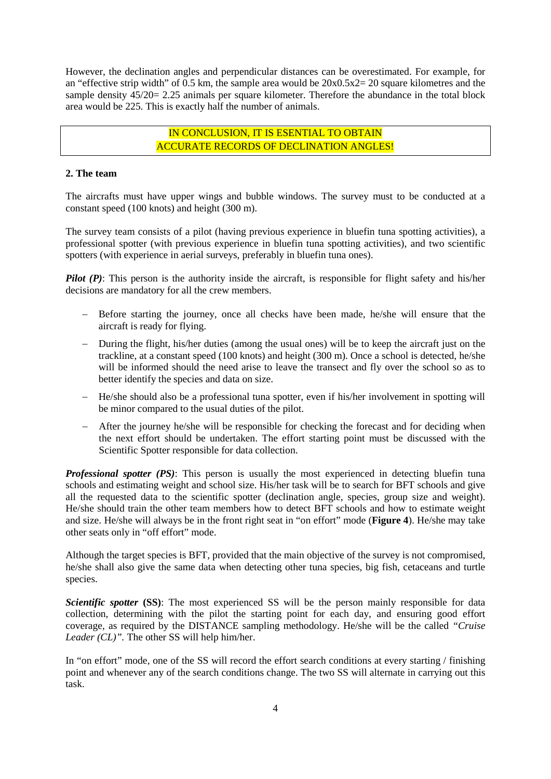However, the declination angles and perpendicular distances can be overestimated. For example, for an "effective strip width" of 0.5 km, the sample area would be  $20x0.5x2=20$  square kilometres and the sample density  $45/20 = 2.25$  animals per square kilometer. Therefore the abundance in the total block area would be 225. This is exactly half the number of animals.

# IN CONCLUSION, IT IS ESENTIAL TO OBTAIN ACCURATE RECORDS OF DECLINATION ANGLES!

### **2. The team**

The aircrafts must have upper wings and bubble windows. The survey must to be conducted at a constant speed (100 knots) and height (300 m).

The survey team consists of a pilot (having previous experience in bluefin tuna spotting activities), a professional spotter (with previous experience in bluefin tuna spotting activities), and two scientific spotters (with experience in aerial surveys, preferably in bluefin tuna ones).

*Pilot (P)*: This person is the authority inside the aircraft, is responsible for flight safety and his/her decisions are mandatory for all the crew members.

- − Before starting the journey, once all checks have been made, he/she will ensure that the aircraft is ready for flying.
- − During the flight, his/her duties (among the usual ones) will be to keep the aircraft just on the trackline, at a constant speed (100 knots) and height (300 m). Once a school is detected, he/she will be informed should the need arise to leave the transect and fly over the school so as to better identify the species and data on size.
- − He/she should also be a professional tuna spotter, even if his/her involvement in spotting will be minor compared to the usual duties of the pilot.
- − After the journey he/she will be responsible for checking the forecast and for deciding when the next effort should be undertaken. The effort starting point must be discussed with the Scientific Spotter responsible for data collection.

*Professional spotter (PS)*: This person is usually the most experienced in detecting bluefin tuna schools and estimating weight and school size. His/her task will be to search for BFT schools and give all the requested data to the scientific spotter (declination angle, species, group size and weight). He/she should train the other team members how to detect BFT schools and how to estimate weight and size. He/she will always be in the front right seat in "on effort" mode (**Figure 4**). He/she may take other seats only in "off effort" mode.

Although the target species is BFT, provided that the main objective of the survey is not compromised, he/she shall also give the same data when detecting other tuna species, big fish, cetaceans and turtle species.

*Scientific spotter* (SS): The most experienced SS will be the person mainly responsible for data collection, determining with the pilot the starting point for each day, and ensuring good effort coverage, as required by the DISTANCE sampling methodology. He/she will be the called *"Cruise Leader (CL)".* The other SS will help him/her.

In "on effort" mode, one of the SS will record the effort search conditions at every starting / finishing point and whenever any of the search conditions change. The two SS will alternate in carrying out this task.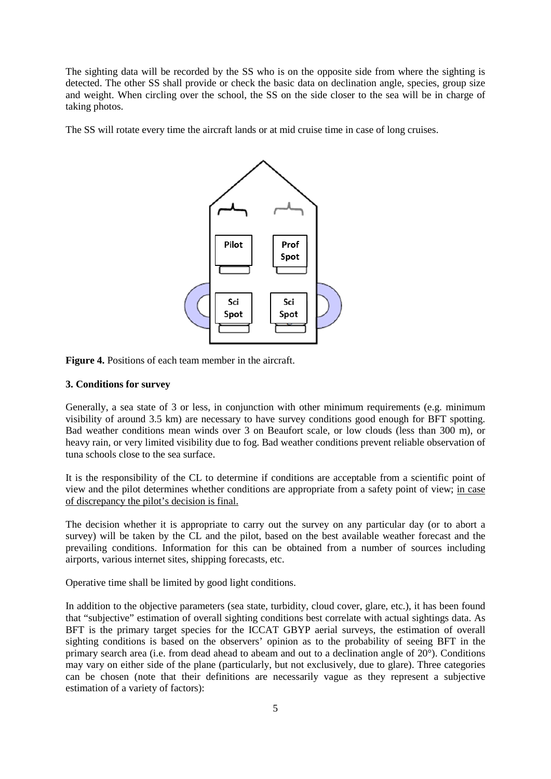The sighting data will be recorded by the SS who is on the opposite side from where the sighting is detected. The other SS shall provide or check the basic data on declination angle, species, group size and weight. When circling over the school, the SS on the side closer to the sea will be in charge of taking photos.

The SS will rotate every time the aircraft lands or at mid cruise time in case of long cruises.



**Figure 4.** Positions of each team member in the aircraft.

### **3. Conditions for survey**

Generally, a sea state of 3 or less, in conjunction with other minimum requirements (e.g. minimum visibility of around 3.5 km) are necessary to have survey conditions good enough for BFT spotting. Bad weather conditions mean winds over 3 on Beaufort scale, or low clouds (less than 300 m), or heavy rain, or very limited visibility due to fog. Bad weather conditions prevent reliable observation of tuna schools close to the sea surface.

It is the responsibility of the CL to determine if conditions are acceptable from a scientific point of view and the pilot determines whether conditions are appropriate from a safety point of view; in case of discrepancy the pilot's decision is final.

The decision whether it is appropriate to carry out the survey on any particular day (or to abort a survey) will be taken by the CL and the pilot, based on the best available weather forecast and the prevailing conditions. Information for this can be obtained from a number of sources including airports, various internet sites, shipping forecasts, etc.

Operative time shall be limited by good light conditions.

In addition to the objective parameters (sea state, turbidity, cloud cover, glare, etc.), it has been found that "subjective" estimation of overall sighting conditions best correlate with actual sightings data. As BFT is the primary target species for the ICCAT GBYP aerial surveys, the estimation of overall sighting conditions is based on the observers' opinion as to the probability of seeing BFT in the primary search area (i.e. from dead ahead to abeam and out to a declination angle of 20<sup>°</sup>). Conditions may vary on either side of the plane (particularly, but not exclusively, due to glare). Three categories can be chosen (note that their definitions are necessarily vague as they represent a subjective estimation of a variety of factors):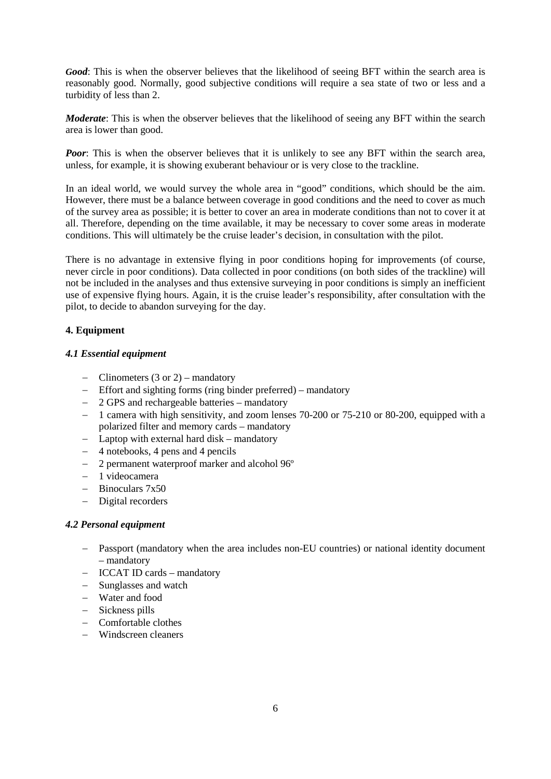*Good*: This is when the observer believes that the likelihood of seeing BFT within the search area is reasonably good. Normally, good subjective conditions will require a sea state of two or less and a turbidity of less than 2.

*Moderate*: This is when the observer believes that the likelihood of seeing any BFT within the search area is lower than good.

*Poor*: This is when the observer believes that it is unlikely to see any BFT within the search area, unless, for example, it is showing exuberant behaviour or is very close to the trackline.

In an ideal world, we would survey the whole area in "good" conditions, which should be the aim. However, there must be a balance between coverage in good conditions and the need to cover as much of the survey area as possible; it is better to cover an area in moderate conditions than not to cover it at all. Therefore, depending on the time available, it may be necessary to cover some areas in moderate conditions. This will ultimately be the cruise leader's decision, in consultation with the pilot.

There is no advantage in extensive flying in poor conditions hoping for improvements (of course, never circle in poor conditions). Data collected in poor conditions (on both sides of the trackline) will not be included in the analyses and thus extensive surveying in poor conditions is simply an inefficient use of expensive flying hours. Again, it is the cruise leader's responsibility, after consultation with the pilot, to decide to abandon surveying for the day.

## **4. Equipment**

### *4.1 Essential equipment*

- − Clinometers (3 or 2) mandatory
- − Effort and sighting forms (ring binder preferred) mandatory
- − 2 GPS and rechargeable batteries mandatory
- − 1 camera with high sensitivity, and zoom lenses 70-200 or 75-210 or 80-200, equipped with a polarized filter and memory cards – mandatory
- − Laptop with external hard disk mandatory
- − 4 notebooks, 4 pens and 4 pencils
- − 2 permanent waterproof marker and alcohol 96º
- − 1 videocamera
- − Binoculars 7x50
- − Digital recorders

### *4.2 Personal equipment*

- − Passport (mandatory when the area includes non-EU countries) or national identity document – mandatory
- − ICCAT ID cards mandatory
- − Sunglasses and watch
- − Water and food
- − Sickness pills
- − Comfortable clothes
- − Windscreen cleaners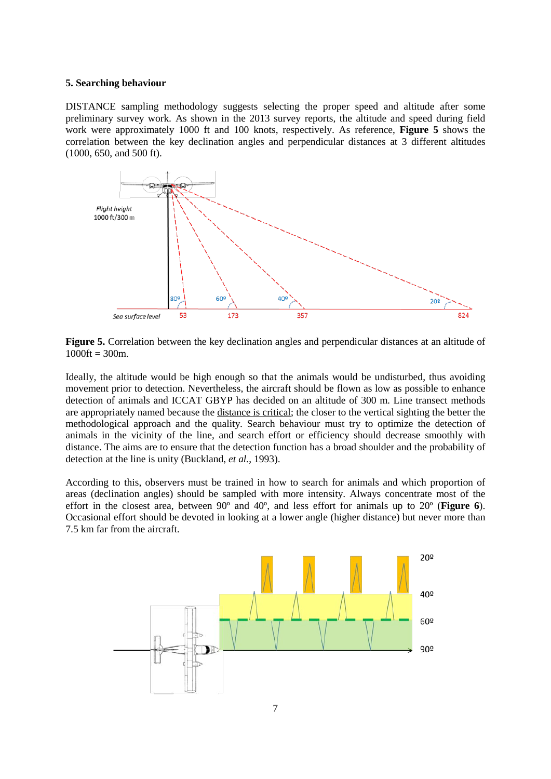#### **5. Searching behaviour**

DISTANCE sampling methodology suggests selecting the proper speed and altitude after some preliminary survey work. As shown in the 2013 survey reports, the altitude and speed during field work were approximately 1000 ft and 100 knots, respectively. As reference, **Figure 5** shows the correlation between the key declination angles and perpendicular distances at 3 different altitudes (1000, 650, and 500 ft).



**Figure 5.** Correlation between the key declination angles and perpendicular distances at an altitude of  $1000 \text{ft} = 300 \text{m}$ .

Ideally, the altitude would be high enough so that the animals would be undisturbed, thus avoiding movement prior to detection. Nevertheless, the aircraft should be flown as low as possible to enhance detection of animals and ICCAT GBYP has decided on an altitude of 300 m. Line transect methods are appropriately named because the distance is critical; the closer to the vertical sighting the better the methodological approach and the quality. Search behaviour must try to optimize the detection of animals in the vicinity of the line, and search effort or efficiency should decrease smoothly with distance. The aims are to ensure that the detection function has a broad shoulder and the probability of detection at the line is unity (Buckland, *et al.*, 1993).

According to this, observers must be trained in how to search for animals and which proportion of areas (declination angles) should be sampled with more intensity. Always concentrate most of the effort in the closest area, between 90º and 40º, and less effort for animals up to 20º (**Figure 6**). Occasional effort should be devoted in looking at a lower angle (higher distance) but never more than 7.5 km far from the aircraft.

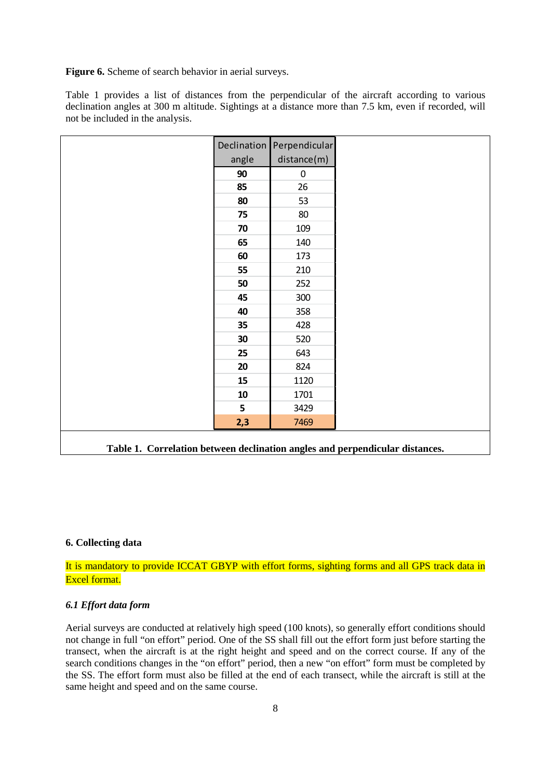Figure 6. Scheme of search behavior in aerial surveys.

Table 1 provides a list of distances from the perpendicular of the aircraft according to various declination angles at 300 m altitude. Sightings at a distance more than 7.5 km, even if recorded, will not be included in the analysis.

|            | Declination Perpendicular |
|------------|---------------------------|
| angle      | distance(m)               |
| 90         | $\pmb{0}$                 |
| 85         | 26                        |
| 80         | 53                        |
| 75         | 80                        |
| 70         | 109                       |
| 65         | 140                       |
| 60         | 173                       |
| 55         | 210                       |
| 50         | 252                       |
| 45         | 300                       |
| 40         | 358                       |
| 35         | 428                       |
| 30         | 520                       |
| 25         | 643                       |
| 20         | 824                       |
| 15         | 1120                      |
| ${\bf 10}$ | 1701                      |
| 5          | 3429                      |
| 2,3        | 7469                      |

**Table 1. Correlation between declination angles and perpendicular distances.**

### **6. Collecting data**

It is mandatory to provide ICCAT GBYP with effort forms, sighting forms and all GPS track data in Excel format.

### *6.1 Effort data form*

Aerial surveys are conducted at relatively high speed (100 knots), so generally effort conditions should not change in full "on effort" period. One of the SS shall fill out the effort form just before starting the transect, when the aircraft is at the right height and speed and on the correct course. If any of the search conditions changes in the "on effort" period, then a new "on effort" form must be completed by the SS. The effort form must also be filled at the end of each transect, while the aircraft is still at the same height and speed and on the same course.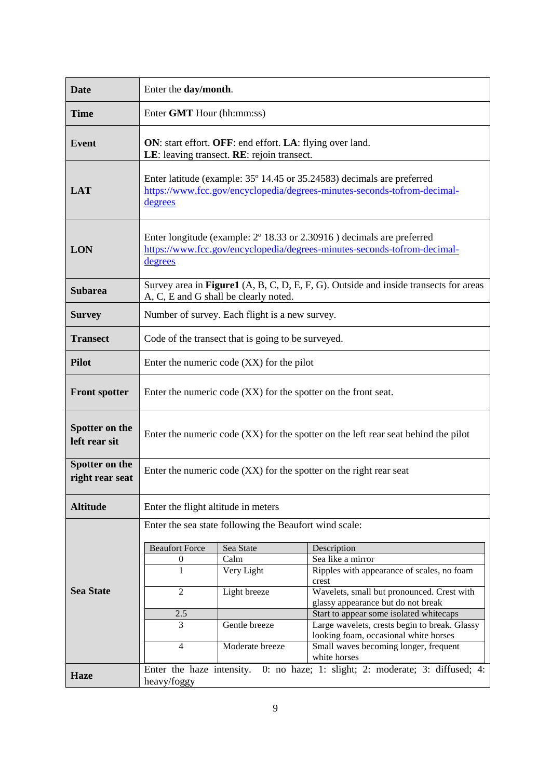| <b>Date</b>                       | Enter the day/month.                                                                                                                                                  |                 |                                                                                          |  |  |
|-----------------------------------|-----------------------------------------------------------------------------------------------------------------------------------------------------------------------|-----------------|------------------------------------------------------------------------------------------|--|--|
| <b>Time</b>                       | Enter GMT Hour (hh:mm:ss)                                                                                                                                             |                 |                                                                                          |  |  |
| <b>Event</b>                      | ON: start effort. OFF: end effort. LA: flying over land.<br>LE: leaving transect. RE: rejoin transect.                                                                |                 |                                                                                          |  |  |
| <b>LAT</b>                        | Enter latitude (example: 35° 14.45 or 35.24583) decimals are preferred<br>https://www.fcc.gov/encyclopedia/degrees-minutes-seconds-tofrom-decimal-<br>degrees         |                 |                                                                                          |  |  |
| <b>LON</b>                        | Enter longitude (example: $2^{\circ}$ 18.33 or 2.30916) decimals are preferred<br>https://www.fcc.gov/encyclopedia/degrees-minutes-seconds-tofrom-decimal-<br>degrees |                 |                                                                                          |  |  |
| <b>Subarea</b>                    | Survey area in Figure1 (A, B, C, D, E, F, G). Outside and inside transects for areas<br>A, C, E and G shall be clearly noted.                                         |                 |                                                                                          |  |  |
| <b>Survey</b>                     | Number of survey. Each flight is a new survey.                                                                                                                        |                 |                                                                                          |  |  |
| <b>Transect</b>                   | Code of the transect that is going to be surveyed.                                                                                                                    |                 |                                                                                          |  |  |
| <b>Pilot</b>                      | Enter the numeric code (XX) for the pilot                                                                                                                             |                 |                                                                                          |  |  |
| <b>Front spotter</b>              | Enter the numeric code (XX) for the spotter on the front seat.                                                                                                        |                 |                                                                                          |  |  |
| Spotter on the<br>left rear sit   | Enter the numeric code $(XX)$ for the spotter on the left rear seat behind the pilot                                                                                  |                 |                                                                                          |  |  |
| Spotter on the<br>right rear seat | Enter the numeric code (XX) for the spotter on the right rear seat                                                                                                    |                 |                                                                                          |  |  |
| <b>Altitude</b>                   | Enter the flight altitude in meters                                                                                                                                   |                 |                                                                                          |  |  |
|                                   | Enter the sea state following the Beaufort wind scale:                                                                                                                |                 |                                                                                          |  |  |
|                                   | <b>Beaufort Force</b>                                                                                                                                                 | Sea State       | Description                                                                              |  |  |
|                                   | $\boldsymbol{0}$                                                                                                                                                      | Calm            | Sea like a mirror                                                                        |  |  |
|                                   | 1                                                                                                                                                                     | Very Light      | Ripples with appearance of scales, no foam<br>crest                                      |  |  |
| <b>Sea State</b>                  | $\overline{c}$                                                                                                                                                        | Light breeze    | Wavelets, small but pronounced. Crest with                                               |  |  |
|                                   |                                                                                                                                                                       |                 | glassy appearance but do not break                                                       |  |  |
|                                   | 2.5<br>3                                                                                                                                                              | Gentle breeze   | Start to appear some isolated whitecaps<br>Large wavelets, crests begin to break. Glassy |  |  |
|                                   |                                                                                                                                                                       |                 | looking foam, occasional white horses                                                    |  |  |
|                                   | $\overline{4}$                                                                                                                                                        | Moderate breeze | Small waves becoming longer, frequent<br>white horses                                    |  |  |
|                                   |                                                                                                                                                                       |                 | Enter the haze intensity. 0: no haze; 1: slight; 2: moderate; 3: diffused; 4:            |  |  |
| <b>Haze</b>                       | heavy/foggy                                                                                                                                                           |                 |                                                                                          |  |  |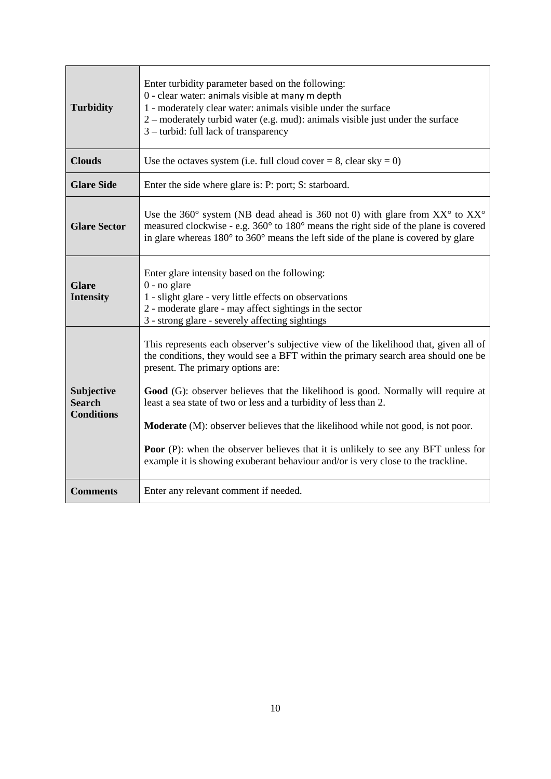| <b>Turbidity</b>                                 | Enter turbidity parameter based on the following:<br>0 - clear water: animals visible at many m depth<br>1 - moderately clear water: animals visible under the surface<br>2 – moderately turbid water (e.g. mud): animals visible just under the surface<br>3 – turbid: full lack of transparency                                                                                                                                                                                                                                                                                                                                                   |  |  |  |
|--------------------------------------------------|-----------------------------------------------------------------------------------------------------------------------------------------------------------------------------------------------------------------------------------------------------------------------------------------------------------------------------------------------------------------------------------------------------------------------------------------------------------------------------------------------------------------------------------------------------------------------------------------------------------------------------------------------------|--|--|--|
| <b>Clouds</b>                                    | Use the octaves system (i.e. full cloud cover = 8, clear sky = 0)                                                                                                                                                                                                                                                                                                                                                                                                                                                                                                                                                                                   |  |  |  |
| <b>Glare Side</b>                                | Enter the side where glare is: P: port; S: starboard.                                                                                                                                                                                                                                                                                                                                                                                                                                                                                                                                                                                               |  |  |  |
| <b>Glare Sector</b>                              | Use the 360° system (NB dead ahead is 360 not 0) with glare from $XX^{\circ}$ to $XX^{\circ}$<br>measured clockwise - e.g. 360° to 180° means the right side of the plane is covered<br>in glare whereas $180^{\circ}$ to $360^{\circ}$ means the left side of the plane is covered by glare                                                                                                                                                                                                                                                                                                                                                        |  |  |  |
| <b>Glare</b><br><b>Intensity</b>                 | Enter glare intensity based on the following:<br>$0$ - no glare<br>1 - slight glare - very little effects on observations<br>2 - moderate glare - may affect sightings in the sector<br>3 - strong glare - severely affecting sightings                                                                                                                                                                                                                                                                                                                                                                                                             |  |  |  |
| Subjective<br><b>Search</b><br><b>Conditions</b> | This represents each observer's subjective view of the likelihood that, given all of<br>the conditions, they would see a BFT within the primary search area should one be<br>present. The primary options are:<br>Good (G): observer believes that the likelihood is good. Normally will require at<br>least a sea state of two or less and a turbidity of less than 2.<br><b>Moderate</b> (M): observer believes that the likelihood while not good, is not poor.<br><b>Poor</b> (P): when the observer believes that it is unlikely to see any BFT unless for<br>example it is showing exuberant behaviour and/or is very close to the trackline. |  |  |  |
| <b>Comments</b>                                  | Enter any relevant comment if needed.                                                                                                                                                                                                                                                                                                                                                                                                                                                                                                                                                                                                               |  |  |  |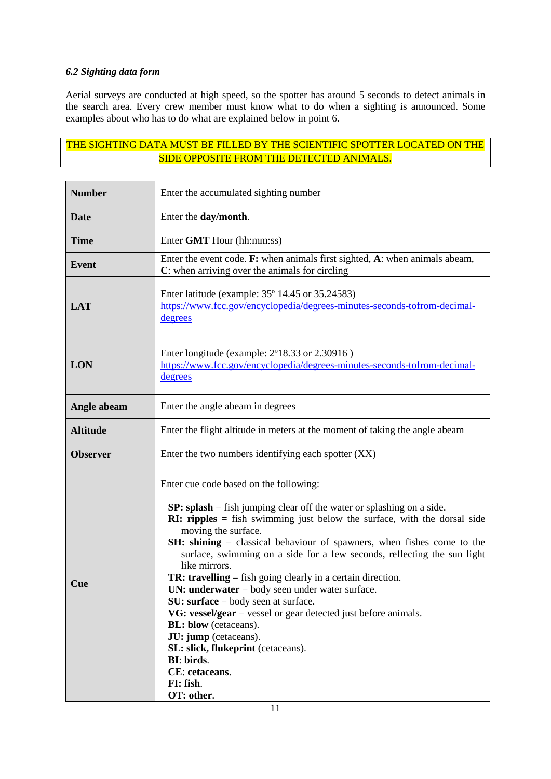# *6.2 Sighting data form*

Aerial surveys are conducted at high speed, so the spotter has around 5 seconds to detect animals in the search area. Every crew member must know what to do when a sighting is announced. Some examples about who has to do what are explained below in point 6.

# THE SIGHTING DATA MUST BE FILLED BY THE SCIENTIFIC SPOTTER LOCATED ON THE SIDE OPPOSITE FROM THE DETECTED ANIMALS.

| <b>Number</b>   | Enter the accumulated sighting number                                                                                                                                                                                                                                                                                                                                                                                                                                                                                                                                                                                                                                                                                                                                                                      |  |  |  |
|-----------------|------------------------------------------------------------------------------------------------------------------------------------------------------------------------------------------------------------------------------------------------------------------------------------------------------------------------------------------------------------------------------------------------------------------------------------------------------------------------------------------------------------------------------------------------------------------------------------------------------------------------------------------------------------------------------------------------------------------------------------------------------------------------------------------------------------|--|--|--|
| <b>Date</b>     | Enter the day/month.                                                                                                                                                                                                                                                                                                                                                                                                                                                                                                                                                                                                                                                                                                                                                                                       |  |  |  |
| <b>Time</b>     | Enter GMT Hour (hh:mm:ss)                                                                                                                                                                                                                                                                                                                                                                                                                                                                                                                                                                                                                                                                                                                                                                                  |  |  |  |
| <b>Event</b>    | Enter the event code. F: when animals first sighted, A: when animals abeam,<br>C: when arriving over the animals for circling                                                                                                                                                                                                                                                                                                                                                                                                                                                                                                                                                                                                                                                                              |  |  |  |
| <b>LAT</b>      | Enter latitude (example: 35° 14.45 or 35.24583)<br>https://www.fcc.gov/encyclopedia/degrees-minutes-seconds-tofrom-decimal-<br>degrees                                                                                                                                                                                                                                                                                                                                                                                                                                                                                                                                                                                                                                                                     |  |  |  |
| <b>LON</b>      | Enter longitude (example: 2°18.33 or 2.30916)<br>https://www.fcc.gov/encyclopedia/degrees-minutes-seconds-tofrom-decimal-<br>degrees                                                                                                                                                                                                                                                                                                                                                                                                                                                                                                                                                                                                                                                                       |  |  |  |
| Angle abeam     | Enter the angle abeam in degrees                                                                                                                                                                                                                                                                                                                                                                                                                                                                                                                                                                                                                                                                                                                                                                           |  |  |  |
| <b>Altitude</b> | Enter the flight altitude in meters at the moment of taking the angle abeam                                                                                                                                                                                                                                                                                                                                                                                                                                                                                                                                                                                                                                                                                                                                |  |  |  |
| <b>Observer</b> | Enter the two numbers identifying each spotter (XX)                                                                                                                                                                                                                                                                                                                                                                                                                                                                                                                                                                                                                                                                                                                                                        |  |  |  |
| Cue             | Enter cue code based on the following:<br>$SP: splash = fish$ jumping clear off the water or splashing on a side.<br><b>RI:</b> ripples $=$ fish swimming just below the surface, with the dorsal side<br>moving the surface.<br><b>SH:</b> shining = classical behaviour of spawners, when fishes come to the<br>surface, swimming on a side for a few seconds, reflecting the sun light<br>like mirrors.<br><b>TR: travelling</b> = fish going clearly in a certain direction.<br>UN: underwater $=$ body seen under water surface.<br>$SU:$ surface = body seen at surface.<br>VG: vessel/gear = vessel or gear detected just before animals.<br><b>BL:</b> blow (cetaceans).<br>JU: jump (cetaceans).<br>SL: slick, flukeprint (cetaceans).<br>BI: birds.<br>CE: cetaceans.<br>FI: fish.<br>OT: other. |  |  |  |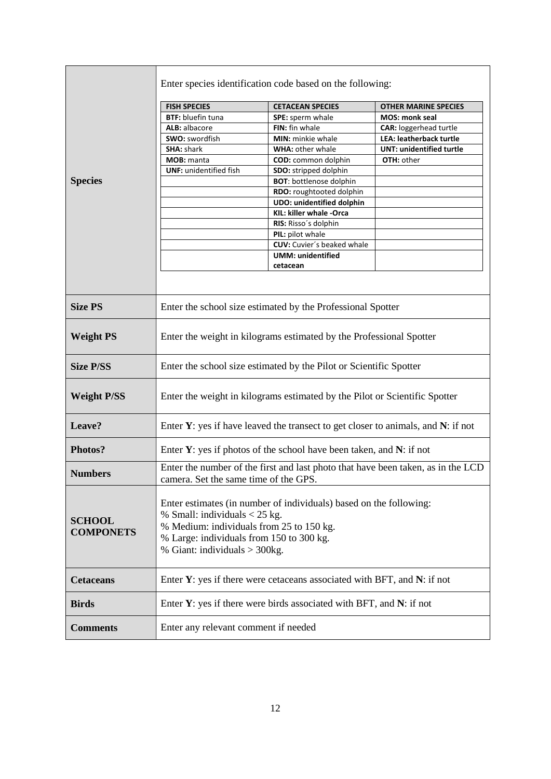|                                   | Enter species identification code based on the following:                                                                                                                                                                      |                                   |                                 |  |  |
|-----------------------------------|--------------------------------------------------------------------------------------------------------------------------------------------------------------------------------------------------------------------------------|-----------------------------------|---------------------------------|--|--|
|                                   | <b>FISH SPECIES</b>                                                                                                                                                                                                            | <b>CETACEAN SPECIES</b>           | <b>OTHER MARINE SPECIES</b>     |  |  |
|                                   | <b>BTF:</b> bluefin tuna                                                                                                                                                                                                       | SPE: sperm whale                  | <b>MOS: monk seal</b>           |  |  |
|                                   | ALB: albacore                                                                                                                                                                                                                  | FIN: fin whale                    | <b>CAR: loggerhead turtle</b>   |  |  |
|                                   | SWO: swordfish                                                                                                                                                                                                                 | MIN: minkie whale                 | LEA: leatherback turtle         |  |  |
|                                   | <b>SHA: shark</b>                                                                                                                                                                                                              | <b>WHA: other whale</b>           | <b>UNT: unidentified turtle</b> |  |  |
|                                   | MOB: manta                                                                                                                                                                                                                     | <b>COD:</b> common dolphin        | OTH: other                      |  |  |
|                                   | <b>UNF: unidentified fish</b>                                                                                                                                                                                                  | SDO: stripped dolphin             |                                 |  |  |
| <b>Species</b>                    |                                                                                                                                                                                                                                | <b>BOT:</b> bottlenose dolphin    |                                 |  |  |
|                                   |                                                                                                                                                                                                                                | RDO: roughtooted dolphin          |                                 |  |  |
|                                   |                                                                                                                                                                                                                                | <b>UDO: unidentified dolphin</b>  |                                 |  |  |
|                                   |                                                                                                                                                                                                                                | KIL: killer whale -Orca           |                                 |  |  |
|                                   |                                                                                                                                                                                                                                | RIS: Risso's dolphin              |                                 |  |  |
|                                   |                                                                                                                                                                                                                                | PIL: pilot whale                  |                                 |  |  |
|                                   |                                                                                                                                                                                                                                | <b>CUV:</b> Cuvier's beaked whale |                                 |  |  |
|                                   |                                                                                                                                                                                                                                | <b>UMM: unidentified</b>          |                                 |  |  |
|                                   |                                                                                                                                                                                                                                | cetacean                          |                                 |  |  |
|                                   |                                                                                                                                                                                                                                |                                   |                                 |  |  |
| <b>Size PS</b>                    | Enter the school size estimated by the Professional Spotter                                                                                                                                                                    |                                   |                                 |  |  |
| <b>Weight PS</b>                  | Enter the weight in kilograms estimated by the Professional Spotter                                                                                                                                                            |                                   |                                 |  |  |
| <b>Size P/SS</b>                  | Enter the school size estimated by the Pilot or Scientific Spotter                                                                                                                                                             |                                   |                                 |  |  |
| <b>Weight P/SS</b>                | Enter the weight in kilograms estimated by the Pilot or Scientific Spotter                                                                                                                                                     |                                   |                                 |  |  |
| Leave?                            | Enter $Y$ : yes if have leaved the transect to get closer to animals, and $N$ : if not                                                                                                                                         |                                   |                                 |  |  |
| Photos?                           | Enter $Y$ : yes if photos of the school have been taken, and $N$ : if not                                                                                                                                                      |                                   |                                 |  |  |
| <b>Numbers</b>                    | Enter the number of the first and last photo that have been taken, as in the LCD<br>camera. Set the same time of the GPS                                                                                                       |                                   |                                 |  |  |
| <b>SCHOOL</b><br><b>COMPONETS</b> | Enter estimates (in number of individuals) based on the following:<br>% Small: individuals $<$ 25 kg.<br>% Medium: individuals from 25 to 150 kg.<br>% Large: individuals from 150 to 300 kg.<br>% Giant: individuals > 300kg. |                                   |                                 |  |  |
| <b>Cetaceans</b>                  | Enter $Y$ : yes if there were cetaceans associated with BFT, and $N$ : if not                                                                                                                                                  |                                   |                                 |  |  |
| <b>Birds</b>                      | Enter $Y$ : yes if there were birds associated with BFT, and $N$ : if not                                                                                                                                                      |                                   |                                 |  |  |
| <b>Comments</b>                   | Enter any relevant comment if needed                                                                                                                                                                                           |                                   |                                 |  |  |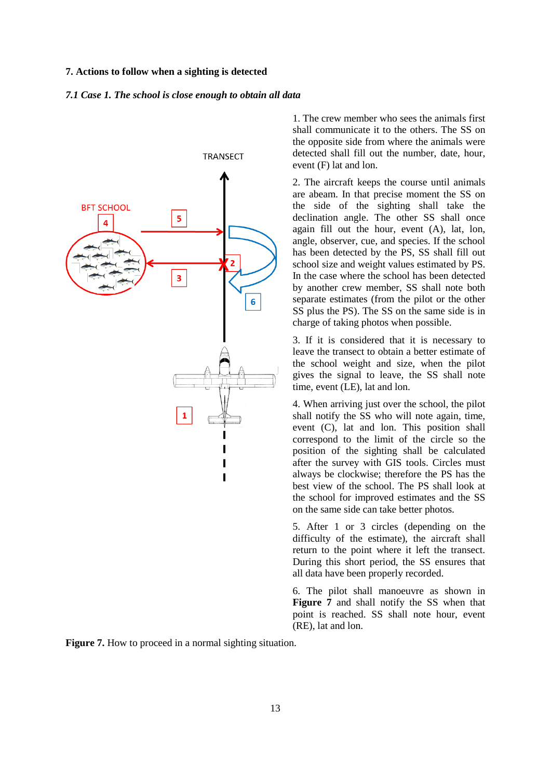### **7. Actions to follow when a sighting is detected**

#### *7.1 Case 1. The school is close enough to obtain all data*



1. The crew member who sees the animals first shall communicate it to the others. The SS on the opposite side from where the animals were detected shall fill out the number, date, hour, event (F) lat and lon.

2. The aircraft keeps the course until animals are abeam. In that precise moment the SS on the side of the sighting shall take the declination angle. The other SS shall once again fill out the hour, event (A), lat, lon, angle, observer, cue, and species. If the school has been detected by the PS, SS shall fill out school size and weight values estimated by PS. In the case where the school has been detected by another crew member, SS shall note both separate estimates (from the pilot or the other SS plus the PS). The SS on the same side is in charge of taking photos when possible.

3. If it is considered that it is necessary to leave the transect to obtain a better estimate of the school weight and size, when the pilot gives the signal to leave, the SS shall note time, event (LE), lat and lon.

4. When arriving just over the school, the pilot shall notify the SS who will note again, time, event (C), lat and lon. This position shall correspond to the limit of the circle so the position of the sighting shall be calculated after the survey with GIS tools. Circles must always be clockwise; therefore the PS has the best view of the school. The PS shall look at the school for improved estimates and the SS on the same side can take better photos.

5. After 1 or 3 circles (depending on the difficulty of the estimate), the aircraft shall return to the point where it left the transect. During this short period, the SS ensures that all data have been properly recorded.

6. The pilot shall manoeuvre as shown in **Figure 7** and shall notify the SS when that point is reached. SS shall note hour, event (RE), lat and lon.

**Figure 7.** How to proceed in a normal sighting situation.